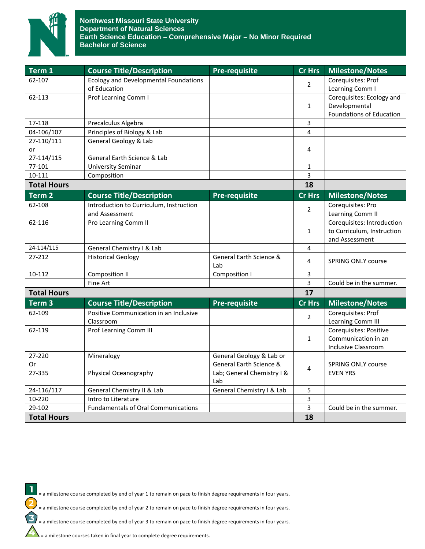

| Term 1             | <b>Course Title/Description</b>                              | <b>Pre-requisite</b>       | Cr Hrs         | <b>Milestone/Notes</b>                |
|--------------------|--------------------------------------------------------------|----------------------------|----------------|---------------------------------------|
| 62-107             | <b>Ecology and Developmental Foundations</b><br>of Education |                            | $\overline{2}$ | Corequisites: Prof<br>Learning Comm I |
| 62-113             | Prof Learning Comm I                                         |                            |                | Corequisites: Ecology and             |
|                    |                                                              |                            | $\mathbf{1}$   | Developmental                         |
|                    |                                                              |                            |                | Foundations of Education              |
| 17-118             | Precalculus Algebra                                          |                            | 3              |                                       |
| 04-106/107         | Principles of Biology & Lab                                  |                            | 4              |                                       |
| 27-110/111         | General Geology & Lab                                        |                            |                |                                       |
| or                 |                                                              |                            | 4              |                                       |
| 27-114/115         | General Earth Science & Lab                                  |                            |                |                                       |
| 77-101             | <b>University Seminar</b>                                    |                            | 1              |                                       |
| 10-111             | Composition                                                  |                            | 3              |                                       |
| <b>Total Hours</b> |                                                              |                            | 18             |                                       |
| Term <sub>2</sub>  | <b>Course Title/Description</b>                              | <b>Pre-requisite</b>       | <b>Cr Hrs</b>  | <b>Milestone/Notes</b>                |
| 62-108             | Introduction to Curriculum, Instruction                      |                            | $\overline{2}$ | Corequisites: Pro                     |
|                    | and Assessment                                               |                            |                | Learning Comm II                      |
| 62-116             | Pro Learning Comm II                                         |                            |                | Corequisites: Introduction            |
|                    |                                                              |                            | $\mathbf{1}$   | to Curriculum, Instruction            |
|                    |                                                              |                            |                | and Assessment                        |
| 24-114/115         | General Chemistry I & Lab                                    |                            | 4              |                                       |
| 27-212             | <b>Historical Geology</b>                                    | General Earth Science &    | 4              | <b>SPRING ONLY course</b>             |
|                    |                                                              | Lab                        |                |                                       |
| 10-112             | Composition II                                               | <b>Composition I</b>       | 3              |                                       |
|                    | Fine Art                                                     |                            | 3              | Could be in the summer.               |
| <b>Total Hours</b> |                                                              |                            | 17             |                                       |
| Term <sub>3</sub>  | <b>Course Title/Description</b>                              | <b>Pre-requisite</b>       | <b>Cr Hrs</b>  | <b>Milestone/Notes</b>                |
| 62-109             | Positive Communication in an Inclusive                       |                            | $\overline{2}$ | Corequisites: Prof                    |
|                    | Classroom                                                    |                            |                | Learning Comm III                     |
| 62-119             | Prof Learning Comm III                                       |                            |                | Corequisites: Positive                |
|                    |                                                              |                            | $\mathbf{1}$   | Communication in an                   |
|                    |                                                              |                            |                | <b>Inclusive Classroom</b>            |
| 27-220             | Mineralogy                                                   | General Geology & Lab or   |                |                                       |
| 0r                 |                                                              | General Earth Science &    | 4              | <b>SPRING ONLY course</b>             |
| 27-335             | Physical Oceanography                                        | Lab; General Chemistry I & |                | <b>EVEN YRS</b>                       |
|                    |                                                              | Lab                        |                |                                       |
| 24-116/117         | General Chemistry II & Lab                                   | General Chemistry I & Lab  | 5              |                                       |
| 10-220             | Intro to Literature                                          |                            | 3              |                                       |
| 29-102             | <b>Fundamentals of Oral Communications</b>                   |                            | 3              | Could be in the summer.               |
| <b>Total Hours</b> |                                                              |                            | 18             |                                       |

= a milestone course completed by end of year 1 to remain on pace to finish degree requirements in four years.

= a milestone course completed by end of year 2 to remain on pace to finish degree requirements in four years.

= a milestone course completed by end of year 3 to remain on pace to finish degree requirements in four years.

= a milestone courses taken in final year to complete degree requirements.

 $\mathbf{I}$ 

2

 $\mathbf{3}$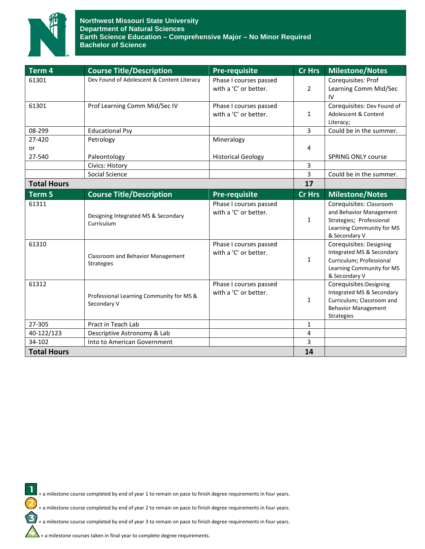

| $\overline{\mathsf{Term}}$ 4 | <b>Course Title/Description</b>            | <b>Pre-requisite</b>      | <b>Cr Hrs</b>  | <b>Milestone/Notes</b>                     |
|------------------------------|--------------------------------------------|---------------------------|----------------|--------------------------------------------|
| 61301                        | Dev Found of Adolescent & Content Literacy | Phase I courses passed    |                | Corequisites: Prof                         |
|                              |                                            | with a 'C' or better.     | $\overline{2}$ | Learning Comm Mid/Sec                      |
|                              |                                            |                           |                | IV                                         |
| 61301                        | Prof Learning Comm Mid/Sec IV              | Phase I courses passed    |                | Corequisites: Dev Found of                 |
|                              |                                            | with a 'C' or better.     | 1              | Adolescent & Content                       |
|                              |                                            |                           |                | Literacy;                                  |
| 08-299                       | <b>Educational Psy</b>                     |                           | 3              | Could be in the summer.                    |
| 27-420                       | Petrology                                  | Mineralogy                |                |                                            |
| or                           |                                            |                           | 4              |                                            |
| 27-540                       | Paleontology                               | <b>Historical Geology</b> |                | <b>SPRING ONLY course</b>                  |
|                              | Civics: History                            |                           | 3              |                                            |
|                              | Social Science                             |                           | 3              | Could be in the summer.                    |
| <b>Total Hours</b>           |                                            |                           | 17             |                                            |
| Term 5                       | <b>Course Title/Description</b>            | <b>Pre-requisite</b>      | <b>Cr Hrs</b>  | <b>Milestone/Notes</b>                     |
| 61311                        |                                            | Phase I courses passed    |                | Corequisites: Classroom                    |
|                              | Designing Integrated MS & Secondary        | with a 'C' or better.     |                | and Behavior Management                    |
|                              | Curriculum                                 |                           | 1              | Strategies; Professional                   |
|                              |                                            |                           |                | Learning Community for MS<br>& Secondary V |
| 61310                        |                                            | Phase I courses passed    |                | Corequisites: Designing                    |
|                              |                                            | with a 'C' or better.     |                | Integrated MS & Secondary                  |
|                              | Classroom and Behavior Management          |                           | $\mathbf{1}$   | Curriculum; Professional                   |
|                              | <b>Strategies</b>                          |                           |                | Learning Community for MS                  |
|                              |                                            |                           |                | & Secondary V                              |
| 61312                        |                                            | Phase I courses passed    |                | Corequisites: Designing                    |
|                              | Professional Learning Community for MS &   | with a 'C' or better.     |                | Integrated MS & Secondary                  |
|                              | Secondary V                                |                           | $\mathbf{1}$   | Curriculum; Classroom and                  |
|                              |                                            |                           |                | <b>Behavior Management</b>                 |
|                              |                                            |                           |                | Strategies                                 |
| 27-305                       | Pract in Teach Lab                         |                           | 1              |                                            |
| 40-122/123                   | Descriptive Astronomy & Lab                |                           | 4              |                                            |
| 34-102                       | Into to American Government                |                           | 3              |                                            |
| <b>Total Hours</b>           |                                            |                           | 14             |                                            |



= a milestone course completed by end of year 1 to remain on pace to finish degree requirements in four years.

= a milestone course completed by end of year 2 to remain on pace to finish degree requirements in four years.

= a milestone course completed by end of year 3 to remain on pace to finish degree requirements in four years.